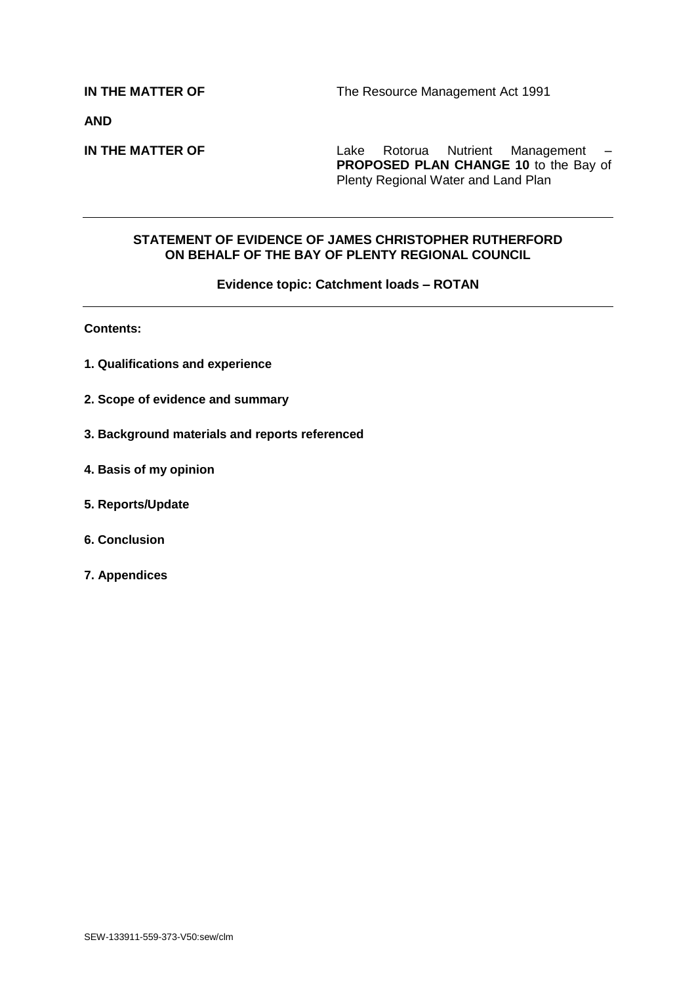**AND**

**IN THE MATTER OF** Lake Rotorua Nutrient Management – **PROPOSED PLAN CHANGE 10** to the Bay of Plenty Regional Water and Land Plan

#### **STATEMENT OF EVIDENCE OF JAMES CHRISTOPHER RUTHERFORD ON BEHALF OF THE BAY OF PLENTY REGIONAL COUNCIL**

#### **Evidence topic: Catchment loads – ROTAN**

**Contents:**

- **1. Qualifications and experience**
- **2. Scope of evidence and summary**
- **3. Background materials and reports referenced**
- **4. Basis of my opinion**
- **5. Reports/Update**
- **6. Conclusion**
- **7. Appendices**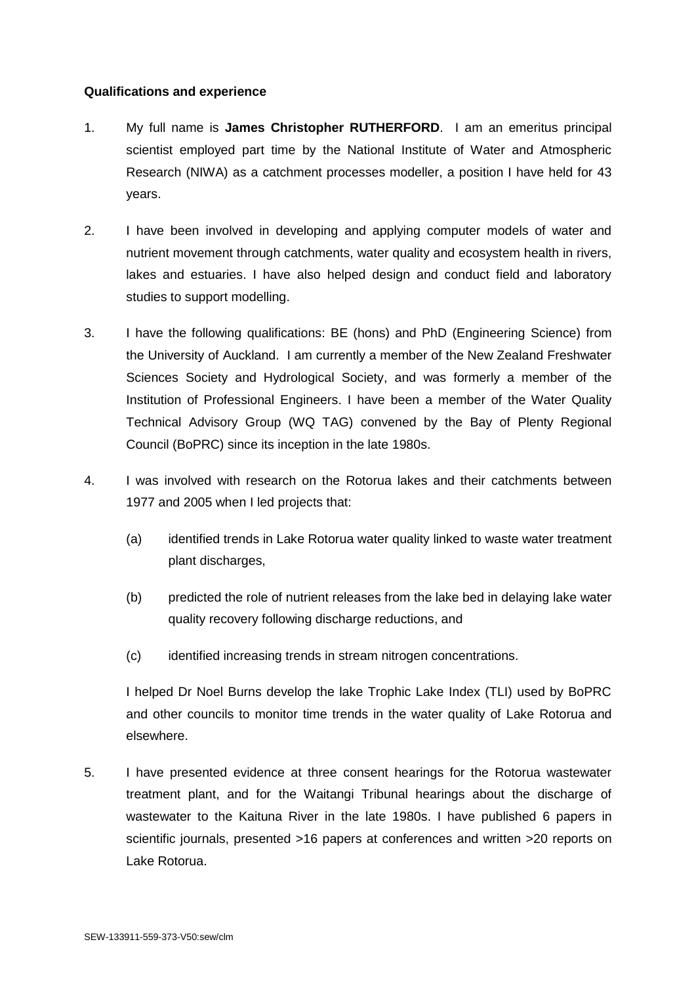## **Qualifications and experience**

- 1. My full name is **James Christopher RUTHERFORD**. I am an emeritus principal scientist employed part time by the National Institute of Water and Atmospheric Research (NIWA) as a catchment processes modeller, a position I have held for 43 years.
- 2. I have been involved in developing and applying computer models of water and nutrient movement through catchments, water quality and ecosystem health in rivers, lakes and estuaries. I have also helped design and conduct field and laboratory studies to support modelling.
- 3. I have the following qualifications: BE (hons) and PhD (Engineering Science) from the University of Auckland. I am currently a member of the New Zealand Freshwater Sciences Society and Hydrological Society, and was formerly a member of the Institution of Professional Engineers. I have been a member of the Water Quality Technical Advisory Group (WQ TAG) convened by the Bay of Plenty Regional Council (BoPRC) since its inception in the late 1980s.
- 4. I was involved with research on the Rotorua lakes and their catchments between 1977 and 2005 when I led projects that:
	- (a) identified trends in Lake Rotorua water quality linked to waste water treatment plant discharges,
	- (b) predicted the role of nutrient releases from the lake bed in delaying lake water quality recovery following discharge reductions, and
	- (c) identified increasing trends in stream nitrogen concentrations.

I helped Dr Noel Burns develop the lake Trophic Lake Index (TLI) used by BoPRC and other councils to monitor time trends in the water quality of Lake Rotorua and elsewhere.

5. I have presented evidence at three consent hearings for the Rotorua wastewater treatment plant, and for the Waitangi Tribunal hearings about the discharge of wastewater to the Kaituna River in the late 1980s. I have published 6 papers in scientific journals, presented >16 papers at conferences and written >20 reports on Lake Rotorua.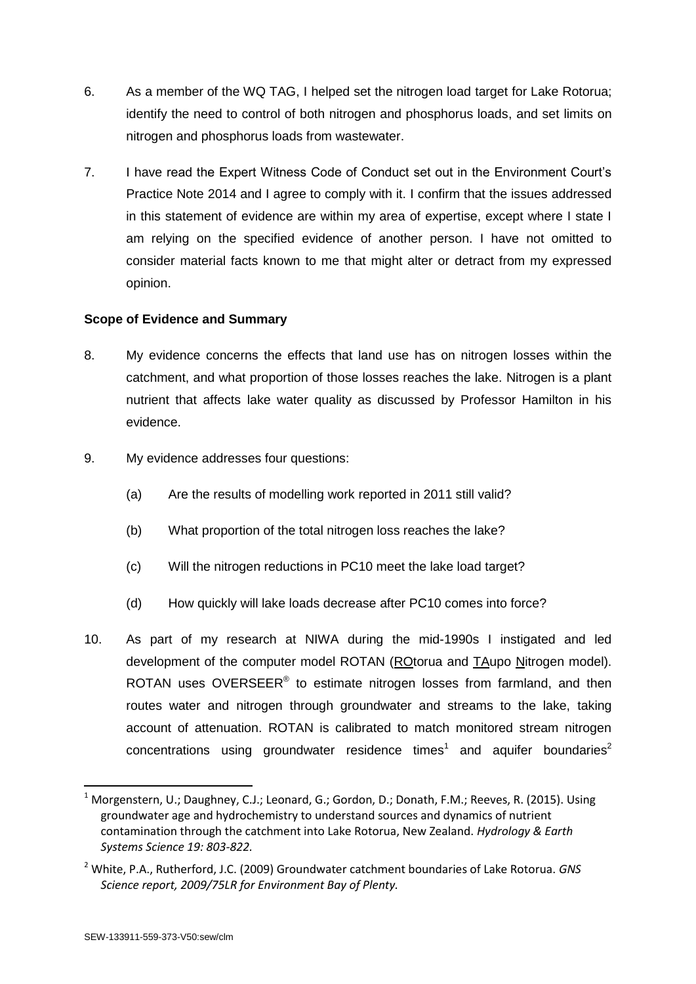- 6. As a member of the WQ TAG, I helped set the nitrogen load target for Lake Rotorua; identify the need to control of both nitrogen and phosphorus loads, and set limits on nitrogen and phosphorus loads from wastewater.
- 7. I have read the Expert Witness Code of Conduct set out in the Environment Court's Practice Note 2014 and I agree to comply with it. I confirm that the issues addressed in this statement of evidence are within my area of expertise, except where I state I am relying on the specified evidence of another person. I have not omitted to consider material facts known to me that might alter or detract from my expressed opinion.

## **Scope of Evidence and Summary**

- 8. My evidence concerns the effects that land use has on nitrogen losses within the catchment, and what proportion of those losses reaches the lake. Nitrogen is a plant nutrient that affects lake water quality as discussed by Professor Hamilton in his evidence.
- 9. My evidence addresses four questions:
	- (a) Are the results of modelling work reported in 2011 still valid?
	- (b) What proportion of the total nitrogen loss reaches the lake?
	- (c) Will the nitrogen reductions in PC10 meet the lake load target?
	- (d) How quickly will lake loads decrease after PC10 comes into force?
- 10. As part of my research at NIWA during the mid-1990s I instigated and led development of the computer model ROTAN (ROtorua and TAupo Nitrogen model). ROTAN uses OVERSEER<sup>®</sup> to estimate nitrogen losses from farmland, and then routes water and nitrogen through groundwater and streams to the lake, taking account of attenuation. ROTAN is calibrated to match monitored stream nitrogen  $concentrations$  using groundwater residence times<sup>1</sup> and aquifer boundaries<sup>2</sup>

-

<sup>&</sup>lt;sup>1</sup> Morgenstern, U.; Daughney, C.J.; Leonard, G.; Gordon, D.; Donath, F.M.; Reeves, R. (2015). Using groundwater age and hydrochemistry to understand sources and dynamics of nutrient contamination through the catchment into Lake Rotorua, New Zealand. *Hydrology & Earth Systems Science 19: 803-822.*

<sup>2</sup> White, P.A., Rutherford, J.C. (2009) Groundwater catchment boundaries of Lake Rotorua. *GNS Science report, 2009/75LR for Environment Bay of Plenty.*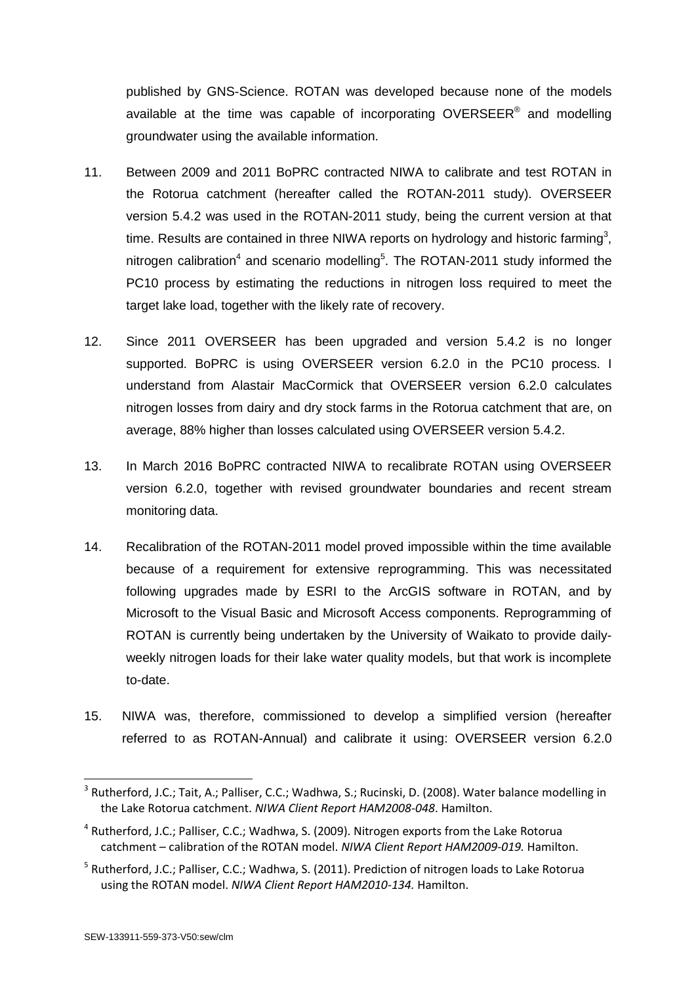published by GNS-Science. ROTAN was developed because none of the models available at the time was capable of incorporating OVERSEER<sup>®</sup> and modelling groundwater using the available information.

- 11. Between 2009 and 2011 BoPRC contracted NIWA to calibrate and test ROTAN in the Rotorua catchment (hereafter called the ROTAN-2011 study). OVERSEER version 5.4.2 was used in the ROTAN-2011 study, being the current version at that time. Results are contained in three NIWA reports on hydrology and historic farming<sup>3</sup>, nitrogen calibration<sup>4</sup> and scenario modelling<sup>5</sup>. The ROTAN-2011 study informed the PC10 process by estimating the reductions in nitrogen loss required to meet the target lake load, together with the likely rate of recovery.
- 12. Since 2011 OVERSEER has been upgraded and version 5.4.2 is no longer supported. BoPRC is using OVERSEER version 6.2.0 in the PC10 process. I understand from Alastair MacCormick that OVERSEER version 6.2.0 calculates nitrogen losses from dairy and dry stock farms in the Rotorua catchment that are, on average, 88% higher than losses calculated using OVERSEER version 5.4.2.
- 13. In March 2016 BoPRC contracted NIWA to recalibrate ROTAN using OVERSEER version 6.2.0, together with revised groundwater boundaries and recent stream monitoring data.
- 14. Recalibration of the ROTAN-2011 model proved impossible within the time available because of a requirement for extensive reprogramming. This was necessitated following upgrades made by ESRI to the ArcGIS software in ROTAN, and by Microsoft to the Visual Basic and Microsoft Access components. Reprogramming of ROTAN is currently being undertaken by the University of Waikato to provide dailyweekly nitrogen loads for their lake water quality models, but that work is incomplete to-date.
- 15. NIWA was, therefore, commissioned to develop a simplified version (hereafter referred to as ROTAN-Annual) and calibrate it using: OVERSEER version 6.2.0

-

<sup>&</sup>lt;sup>3</sup> Rutherford, J.C.; Tait, A.; Palliser, C.C.; Wadhwa, S.; Rucinski, D. (2008). Water balance modelling in the Lake Rotorua catchment. *NIWA Client Report HAM2008-048*. Hamilton.

<sup>&</sup>lt;sup>4</sup> Rutherford, J.C.; Palliser, C.C.; Wadhwa, S. (2009). Nitrogen exports from the Lake Rotorua catchment – calibration of the ROTAN model. *NIWA Client Report HAM2009-019.* Hamilton.

<sup>&</sup>lt;sup>5</sup> Rutherford, J.C.; Palliser, C.C.; Wadhwa, S. (2011). Prediction of nitrogen loads to Lake Rotorua using the ROTAN model. *NIWA Client Report HAM2010-134.* Hamilton.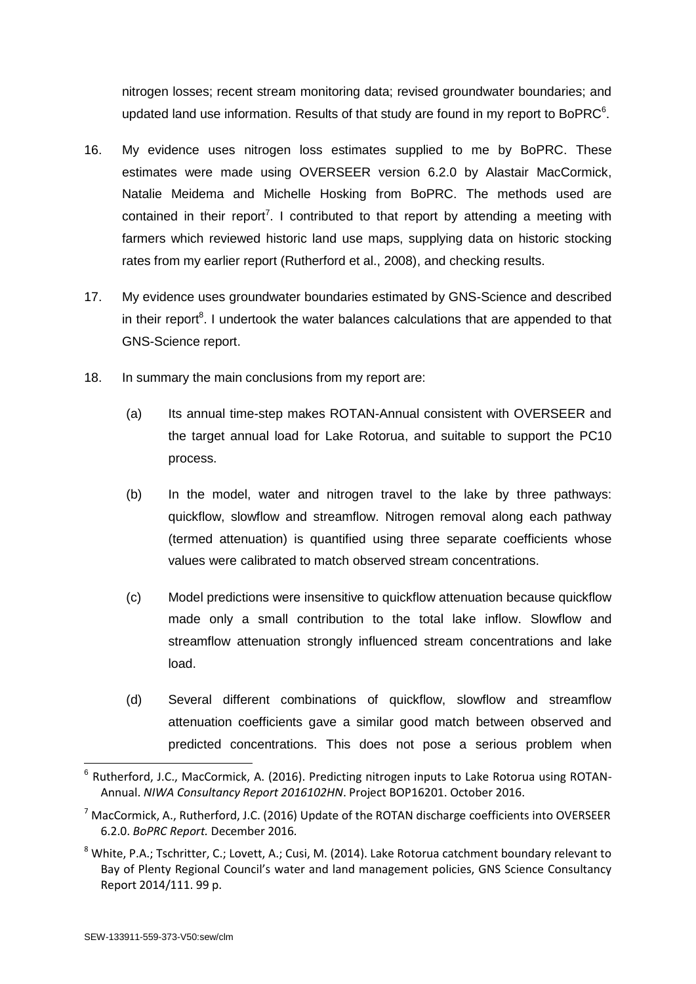nitrogen losses; recent stream monitoring data; revised groundwater boundaries; and updated land use information. Results of that study are found in my report to BoPRC $^6$ .

- 16. My evidence uses nitrogen loss estimates supplied to me by BoPRC. These estimates were made using OVERSEER version 6.2.0 by Alastair MacCormick, Natalie Meidema and Michelle Hosking from BoPRC. The methods used are contained in their report<sup>7</sup>. I contributed to that report by attending a meeting with farmers which reviewed historic land use maps, supplying data on historic stocking rates from my earlier report (Rutherford et al., 2008), and checking results.
- 17. My evidence uses groundwater boundaries estimated by GNS-Science and described in their report<sup>8</sup>. I undertook the water balances calculations that are appended to that GNS-Science report.
- 18. In summary the main conclusions from my report are:
	- (a) Its annual time-step makes ROTAN-Annual consistent with OVERSEER and the target annual load for Lake Rotorua, and suitable to support the PC10 process.
	- (b) In the model, water and nitrogen travel to the lake by three pathways: quickflow, slowflow and streamflow. Nitrogen removal along each pathway (termed attenuation) is quantified using three separate coefficients whose values were calibrated to match observed stream concentrations.
	- (c) Model predictions were insensitive to quickflow attenuation because quickflow made only a small contribution to the total lake inflow. Slowflow and streamflow attenuation strongly influenced stream concentrations and lake load.
	- (d) Several different combinations of quickflow, slowflow and streamflow attenuation coefficients gave a similar good match between observed and predicted concentrations. This does not pose a serious problem when

-

<sup>&</sup>lt;sup>6</sup> Rutherford, J.C., MacCormick, A. (2016). Predicting nitrogen inputs to Lake Rotorua using ROTAN-Annual. *NIWA Consultancy Report 2016102HN*. Project BOP16201. October 2016.

 $<sup>7</sup>$  MacCormick, A., Rutherford, J.C. (2016) Update of the ROTAN discharge coefficients into OVERSEER</sup> 6.2.0. *BoPRC Report.* December 2016*.*

<sup>8</sup> White, P.A.; Tschritter, C.; Lovett, A.; Cusi, M. (2014). Lake Rotorua catchment boundary relevant to Bay of Plenty Regional Council's water and land management policies, GNS Science Consultancy Report 2014/111. 99 p.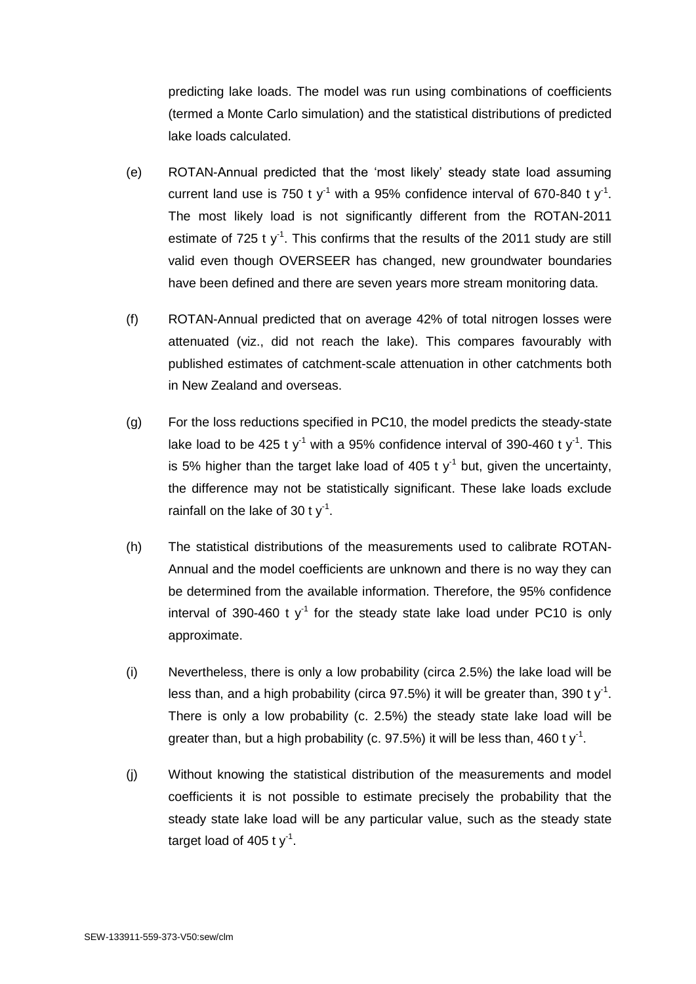predicting lake loads. The model was run using combinations of coefficients (termed a Monte Carlo simulation) and the statistical distributions of predicted lake loads calculated.

- (e) ROTAN-Annual predicted that the 'most likely' steady state load assuming current land use is 750 t y<sup>-1</sup> with a 95% confidence interval of 670-840 t y<sup>-1</sup>. The most likely load is not significantly different from the ROTAN-2011 estimate of 725 t  $y^{-1}$ . This confirms that the results of the 2011 study are still valid even though OVERSEER has changed, new groundwater boundaries have been defined and there are seven years more stream monitoring data.
- (f) ROTAN-Annual predicted that on average 42% of total nitrogen losses were attenuated (viz., did not reach the lake). This compares favourably with published estimates of catchment-scale attenuation in other catchments both in New Zealand and overseas.
- (g) For the loss reductions specified in PC10, the model predicts the steady-state lake load to be 425 t y<sup>-1</sup> with a 95% confidence interval of 390-460 t y<sup>-1</sup>. This is 5% higher than the target lake load of 405 t  $y<sup>-1</sup>$  but, given the uncertainty, the difference may not be statistically significant. These lake loads exclude rainfall on the lake of 30 t  $y^{-1}$ .
- (h) The statistical distributions of the measurements used to calibrate ROTAN-Annual and the model coefficients are unknown and there is no way they can be determined from the available information. Therefore, the 95% confidence interval of 390-460 t  $y^{-1}$  for the steady state lake load under PC10 is only approximate.
- (i) Nevertheless, there is only a low probability (circa 2.5%) the lake load will be less than, and a high probability (circa 97.5%) it will be greater than, 390 t y<sup>-1</sup>. There is only a low probability (c. 2.5%) the steady state lake load will be greater than, but a high probability (c. 97.5%) it will be less than, 460 t  $y^{-1}$ .
- (j) Without knowing the statistical distribution of the measurements and model coefficients it is not possible to estimate precisely the probability that the steady state lake load will be any particular value, such as the steady state target load of 405 t  $y^1$ .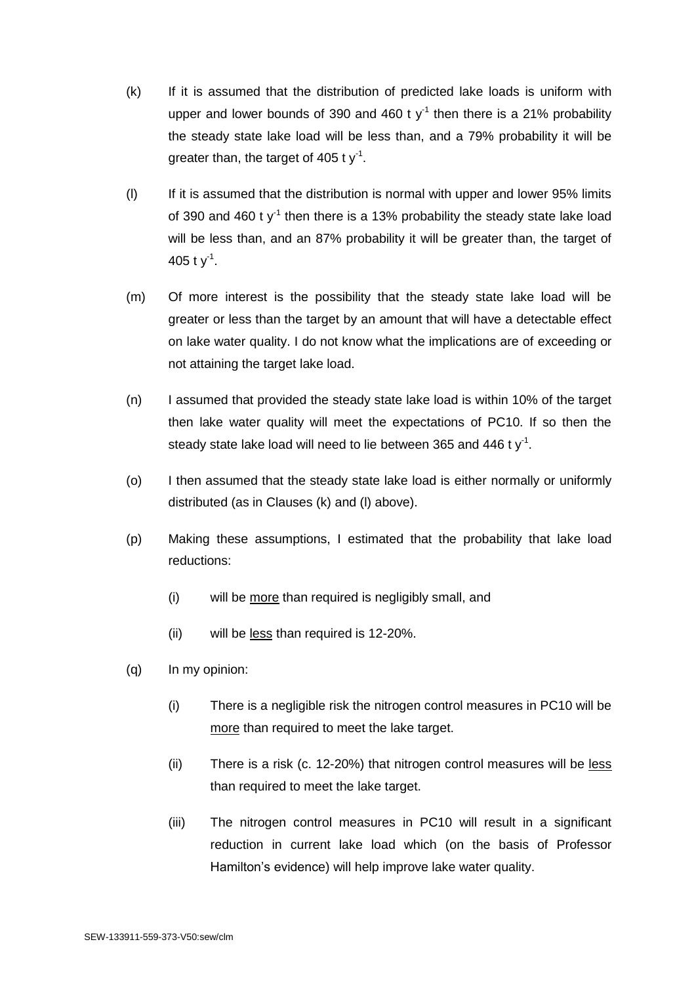- (k) If it is assumed that the distribution of predicted lake loads is uniform with upper and lower bounds of 390 and 460 t  $y^{-1}$  then there is a 21% probability the steady state lake load will be less than, and a 79% probability it will be greater than, the target of 405 t  $y^{-1}$ .
- (l) If it is assumed that the distribution is normal with upper and lower 95% limits of 390 and 460 t  $y^{-1}$  then there is a 13% probability the steady state lake load will be less than, and an 87% probability it will be greater than, the target of 405 t y<sup>-1</sup>.
- (m) Of more interest is the possibility that the steady state lake load will be greater or less than the target by an amount that will have a detectable effect on lake water quality. I do not know what the implications are of exceeding or not attaining the target lake load.
- (n) I assumed that provided the steady state lake load is within 10% of the target then lake water quality will meet the expectations of PC10. If so then the steady state lake load will need to lie between 365 and 446 t  $y<sup>-1</sup>$ .
- (o) I then assumed that the steady state lake load is either normally or uniformly distributed (as in Clauses (k) and (l) above).
- (p) Making these assumptions, I estimated that the probability that lake load reductions:
	- (i) will be more than required is negligibly small, and
	- (ii) will be less than required is 12-20%.
- (q) In my opinion:
	- (i) There is a negligible risk the nitrogen control measures in PC10 will be more than required to meet the lake target.
	- (ii) There is a risk (c. 12-20%) that nitrogen control measures will be less than required to meet the lake target.
	- (iii) The nitrogen control measures in PC10 will result in a significant reduction in current lake load which (on the basis of Professor Hamilton's evidence) will help improve lake water quality.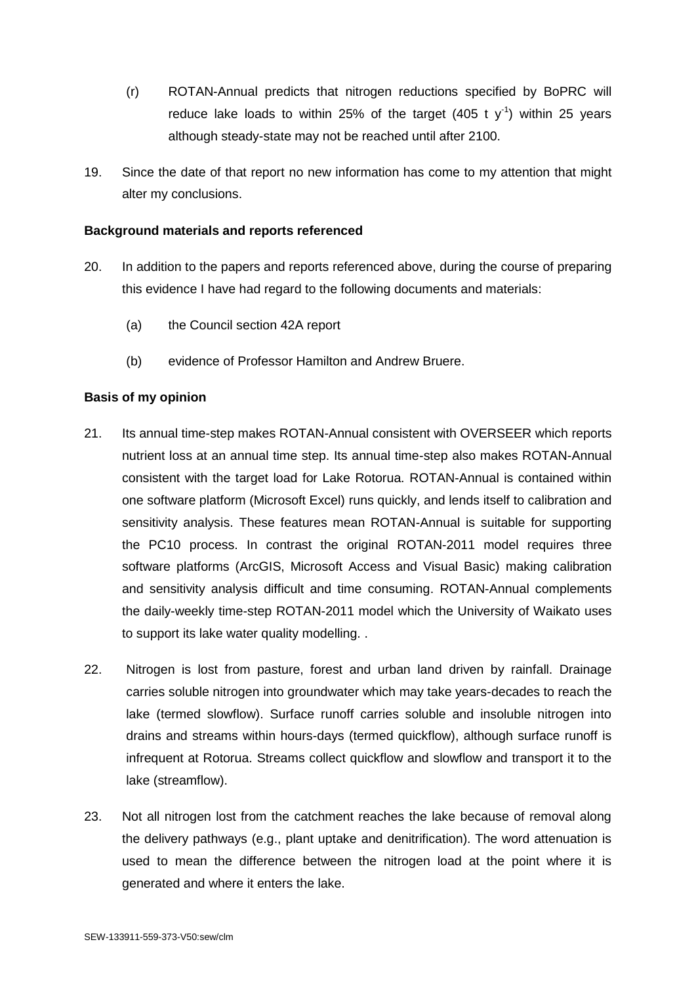- (r) ROTAN-Annual predicts that nitrogen reductions specified by BoPRC will reduce lake loads to within 25% of the target  $(405 \t{ t y}^{-1})$  within 25 years although steady-state may not be reached until after 2100.
- 19. Since the date of that report no new information has come to my attention that might alter my conclusions.

#### **Background materials and reports referenced**

- 20. In addition to the papers and reports referenced above, during the course of preparing this evidence I have had regard to the following documents and materials:
	- (a) the Council section 42A report
	- (b) evidence of Professor Hamilton and Andrew Bruere.

## **Basis of my opinion**

- 21. Its annual time-step makes ROTAN-Annual consistent with OVERSEER which reports nutrient loss at an annual time step. Its annual time-step also makes ROTAN-Annual consistent with the target load for Lake Rotorua. ROTAN-Annual is contained within one software platform (Microsoft Excel) runs quickly, and lends itself to calibration and sensitivity analysis. These features mean ROTAN-Annual is suitable for supporting the PC10 process. In contrast the original ROTAN-2011 model requires three software platforms (ArcGIS, Microsoft Access and Visual Basic) making calibration and sensitivity analysis difficult and time consuming. ROTAN-Annual complements the daily-weekly time-step ROTAN-2011 model which the University of Waikato uses to support its lake water quality modelling. .
- 22. Nitrogen is lost from pasture, forest and urban land driven by rainfall. Drainage carries soluble nitrogen into groundwater which may take years-decades to reach the lake (termed slowflow). Surface runoff carries soluble and insoluble nitrogen into drains and streams within hours-days (termed quickflow), although surface runoff is infrequent at Rotorua. Streams collect quickflow and slowflow and transport it to the lake (streamflow).
- 23. Not all nitrogen lost from the catchment reaches the lake because of removal along the delivery pathways (e.g., plant uptake and denitrification). The word attenuation is used to mean the difference between the nitrogen load at the point where it is generated and where it enters the lake.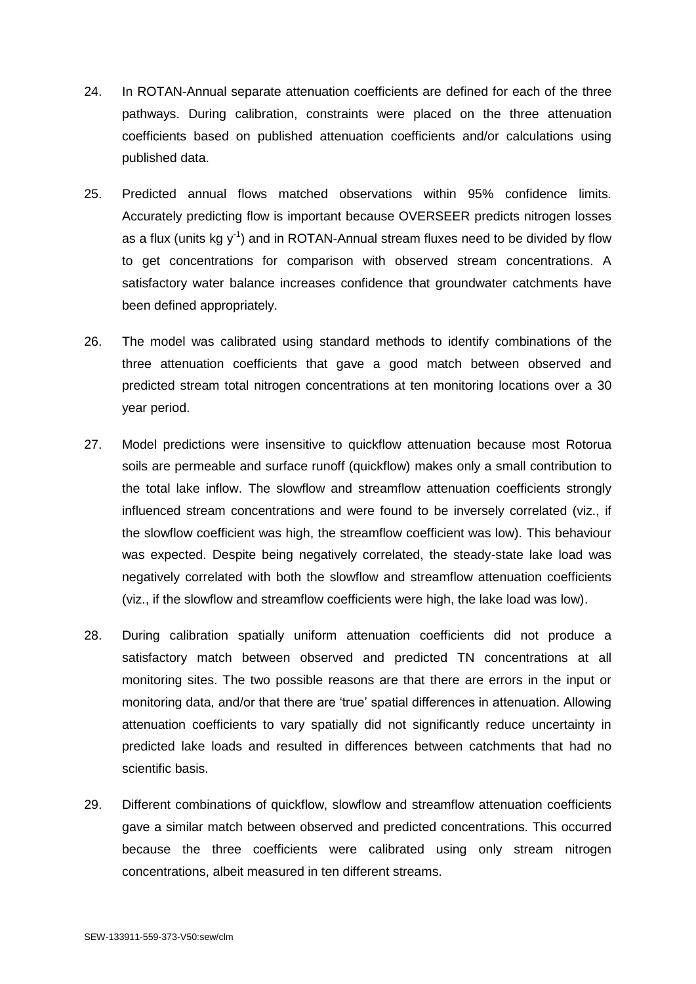- 24. In ROTAN-Annual separate attenuation coefficients are defined for each of the three pathways. During calibration, constraints were placed on the three attenuation coefficients based on published attenuation coefficients and/or calculations using published data.
- 25. Predicted annual flows matched observations within 95% confidence limits. Accurately predicting flow is important because OVERSEER predicts nitrogen losses as a flux (units kg  $y^{-1}$ ) and in ROTAN-Annual stream fluxes need to be divided by flow to get concentrations for comparison with observed stream concentrations. A satisfactory water balance increases confidence that groundwater catchments have been defined appropriately.
- 26. The model was calibrated using standard methods to identify combinations of the three attenuation coefficients that gave a good match between observed and predicted stream total nitrogen concentrations at ten monitoring locations over a 30 year period.
- 27. Model predictions were insensitive to quickflow attenuation because most Rotorua soils are permeable and surface runoff (quickflow) makes only a small contribution to the total lake inflow. The slowflow and streamflow attenuation coefficients strongly influenced stream concentrations and were found to be inversely correlated (viz., if the slowflow coefficient was high, the streamflow coefficient was low). This behaviour was expected. Despite being negatively correlated, the steady-state lake load was negatively correlated with both the slowflow and streamflow attenuation coefficients (viz., if the slowflow and streamflow coefficients were high, the lake load was low).
- 28. During calibration spatially uniform attenuation coefficients did not produce a satisfactory match between observed and predicted TN concentrations at all monitoring sites. The two possible reasons are that there are errors in the input or monitoring data, and/or that there are 'true' spatial differences in attenuation. Allowing attenuation coefficients to vary spatially did not significantly reduce uncertainty in predicted lake loads and resulted in differences between catchments that had no scientific basis.
- 29. Different combinations of quickflow, slowflow and streamflow attenuation coefficients gave a similar match between observed and predicted concentrations. This occurred because the three coefficients were calibrated using only stream nitrogen concentrations, albeit measured in ten different streams.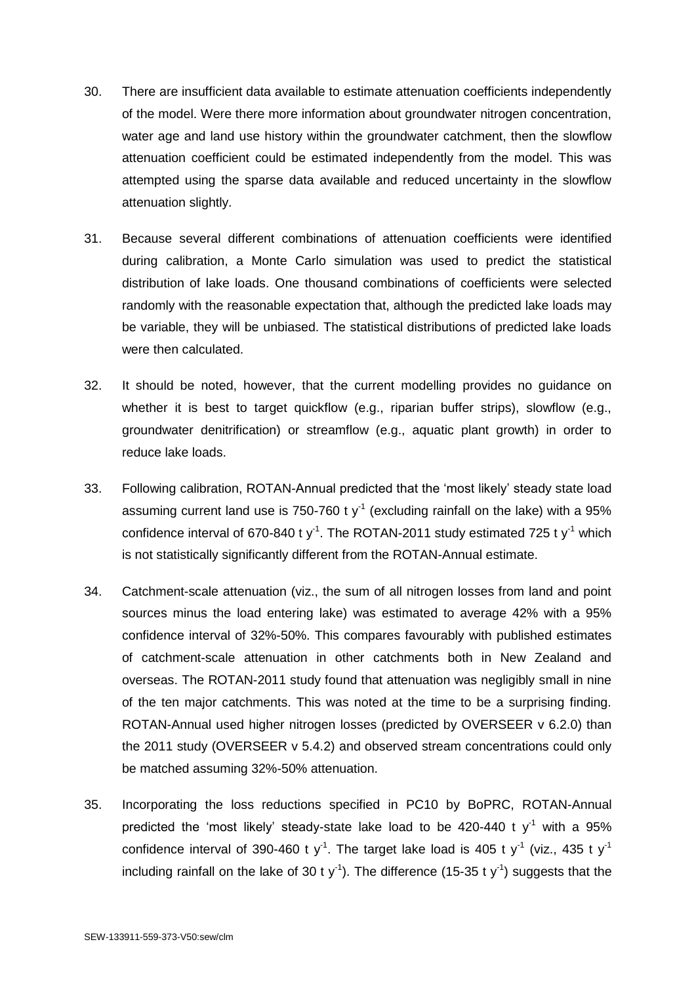- 30. There are insufficient data available to estimate attenuation coefficients independently of the model. Were there more information about groundwater nitrogen concentration, water age and land use history within the groundwater catchment, then the slowflow attenuation coefficient could be estimated independently from the model. This was attempted using the sparse data available and reduced uncertainty in the slowflow attenuation slightly.
- 31. Because several different combinations of attenuation coefficients were identified during calibration, a Monte Carlo simulation was used to predict the statistical distribution of lake loads. One thousand combinations of coefficients were selected randomly with the reasonable expectation that, although the predicted lake loads may be variable, they will be unbiased. The statistical distributions of predicted lake loads were then calculated.
- 32. It should be noted, however, that the current modelling provides no guidance on whether it is best to target quickflow (e.g., riparian buffer strips), slowflow (e.g., groundwater denitrification) or streamflow (e.g., aquatic plant growth) in order to reduce lake loads.
- 33. Following calibration, ROTAN-Annual predicted that the 'most likely' steady state load assuming current land use is 750-760 t y<sup>-1</sup> (excluding rainfall on the lake) with a 95% confidence interval of 670-840 t y<sup>-1</sup>. The ROTAN-2011 study estimated 725 t y<sup>-1</sup> which is not statistically significantly different from the ROTAN-Annual estimate.
- 34. Catchment-scale attenuation (viz., the sum of all nitrogen losses from land and point sources minus the load entering lake) was estimated to average 42% with a 95% confidence interval of 32%-50%. This compares favourably with published estimates of catchment-scale attenuation in other catchments both in New Zealand and overseas. The ROTAN-2011 study found that attenuation was negligibly small in nine of the ten major catchments. This was noted at the time to be a surprising finding. ROTAN-Annual used higher nitrogen losses (predicted by OVERSEER v 6.2.0) than the 2011 study (OVERSEER v 5.4.2) and observed stream concentrations could only be matched assuming 32%-50% attenuation.
- 35. Incorporating the loss reductions specified in PC10 by BoPRC, ROTAN-Annual predicted the 'most likely' steady-state lake load to be 420-440 t  $y^{-1}$  with a 95% confidence interval of 390-460 t y<sup>-1</sup>. The target lake load is 405 t y<sup>-1</sup> (viz., 435 t y<sup>-1</sup> including rainfall on the lake of 30 t y<sup>-1</sup>). The difference (15-35 t y<sup>-1</sup>) suggests that the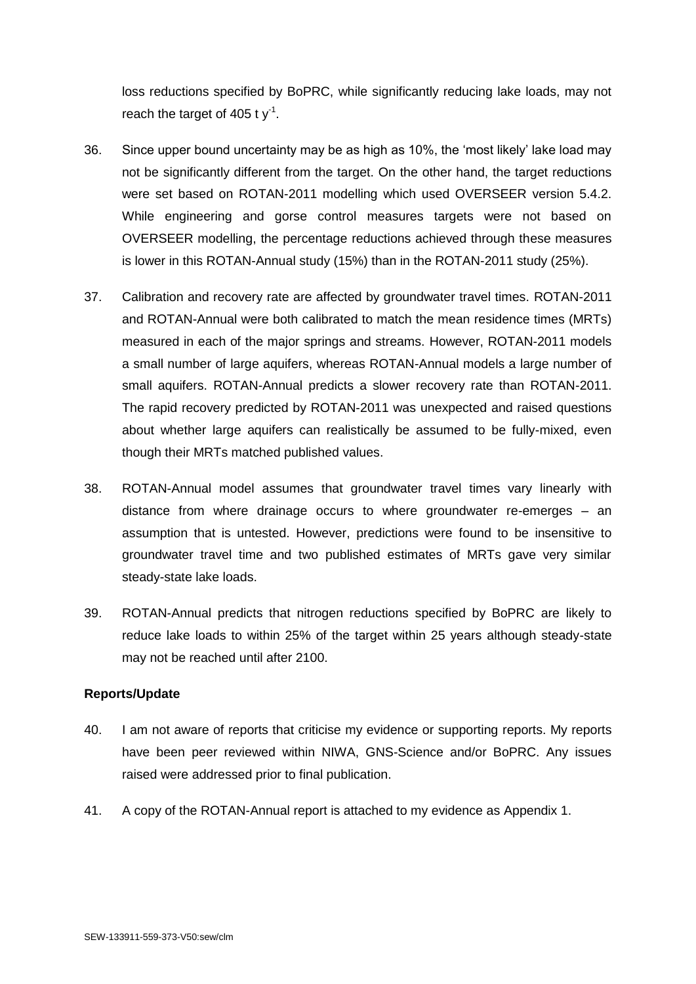loss reductions specified by BoPRC, while significantly reducing lake loads, may not reach the target of 405 t  $y^{-1}$ .

- 36. Since upper bound uncertainty may be as high as 10%, the 'most likely' lake load may not be significantly different from the target. On the other hand, the target reductions were set based on ROTAN-2011 modelling which used OVERSEER version 5.4.2. While engineering and gorse control measures targets were not based on OVERSEER modelling, the percentage reductions achieved through these measures is lower in this ROTAN-Annual study (15%) than in the ROTAN-2011 study (25%).
- 37. Calibration and recovery rate are affected by groundwater travel times. ROTAN-2011 and ROTAN-Annual were both calibrated to match the mean residence times (MRTs) measured in each of the major springs and streams. However, ROTAN-2011 models a small number of large aquifers, whereas ROTAN-Annual models a large number of small aquifers. ROTAN-Annual predicts a slower recovery rate than ROTAN-2011. The rapid recovery predicted by ROTAN-2011 was unexpected and raised questions about whether large aquifers can realistically be assumed to be fully-mixed, even though their MRTs matched published values.
- 38. ROTAN-Annual model assumes that groundwater travel times vary linearly with distance from where drainage occurs to where groundwater re-emerges – an assumption that is untested. However, predictions were found to be insensitive to groundwater travel time and two published estimates of MRTs gave very similar steady-state lake loads.
- 39. ROTAN-Annual predicts that nitrogen reductions specified by BoPRC are likely to reduce lake loads to within 25% of the target within 25 years although steady-state may not be reached until after 2100.

## **Reports/Update**

- 40. I am not aware of reports that criticise my evidence or supporting reports. My reports have been peer reviewed within NIWA, GNS-Science and/or BoPRC. Any issues raised were addressed prior to final publication.
- 41. A copy of the ROTAN-Annual report is attached to my evidence as Appendix 1.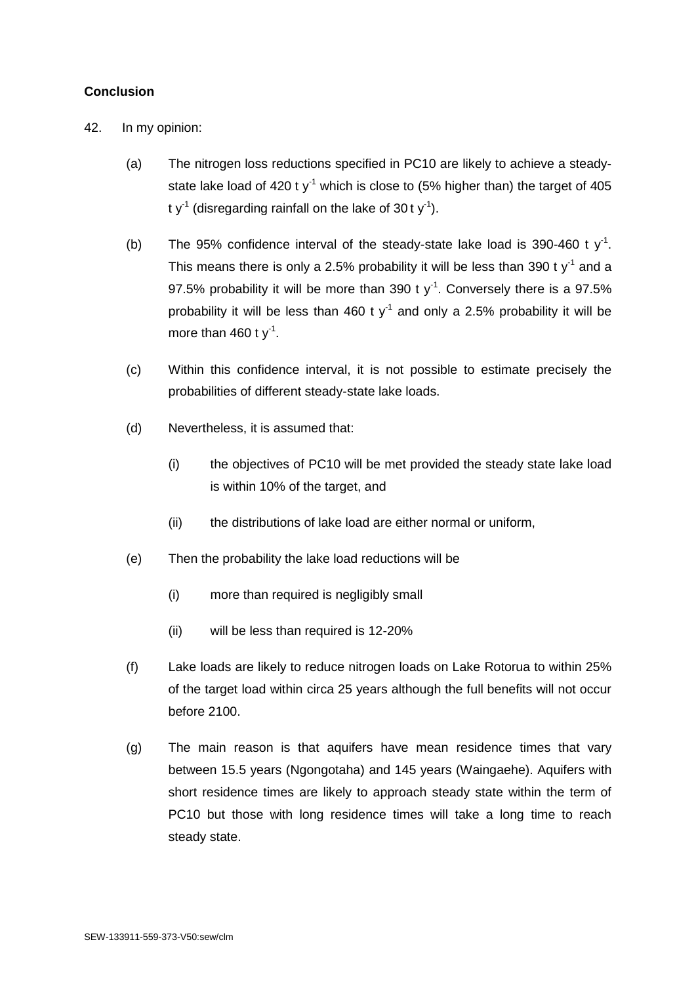# **Conclusion**

42. In my opinion:

- (a) The nitrogen loss reductions specified in PC10 are likely to achieve a steadystate lake load of 420 t  $y<sup>-1</sup>$  which is close to (5% higher than) the target of 405 t y<sup>-1</sup> (disregarding rainfall on the lake of 30 t y<sup>-1</sup>).
- (b) The 95% confidence interval of the steady-state lake load is 390-460 t  $y^{-1}$ . This means there is only a 2.5% probability it will be less than 390 t  $y<sup>-1</sup>$  and a 97.5% probability it will be more than 390 t  $y^{-1}$ . Conversely there is a 97.5% probability it will be less than 460 t  $y<sup>-1</sup>$  and only a 2.5% probability it will be more than  $460$  t y<sup>-1</sup>.
- (c) Within this confidence interval, it is not possible to estimate precisely the probabilities of different steady-state lake loads.
- (d) Nevertheless, it is assumed that:
	- (i) the objectives of PC10 will be met provided the steady state lake load is within 10% of the target, and
	- (ii) the distributions of lake load are either normal or uniform,
- (e) Then the probability the lake load reductions will be
	- (i) more than required is negligibly small
	- (ii) will be less than required is 12-20%
- (f) Lake loads are likely to reduce nitrogen loads on Lake Rotorua to within 25% of the target load within circa 25 years although the full benefits will not occur before 2100.
- (g) The main reason is that aquifers have mean residence times that vary between 15.5 years (Ngongotaha) and 145 years (Waingaehe). Aquifers with short residence times are likely to approach steady state within the term of PC10 but those with long residence times will take a long time to reach steady state.